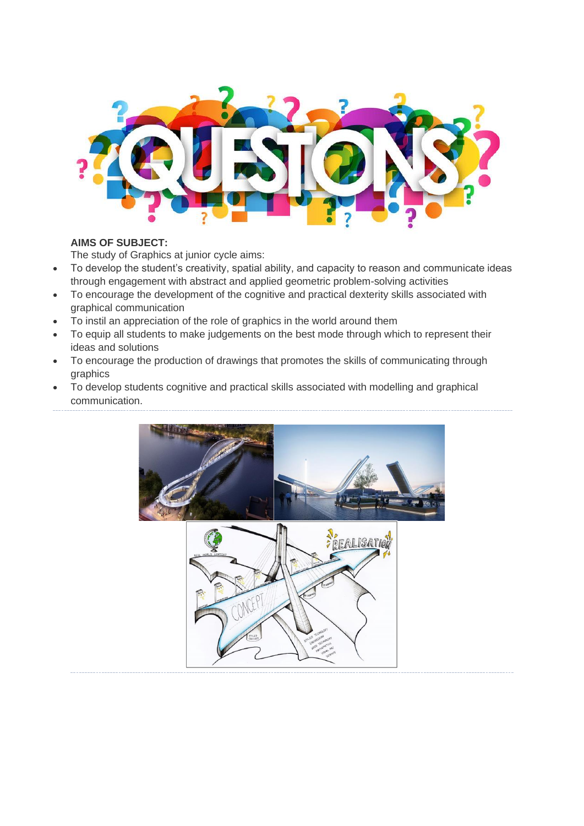

## **AIMS OF SUBJECT:**

The study of Graphics at junior cycle aims:

- To develop the student's creativity, spatial ability, and capacity to reason and communicate ideas through engagement with abstract and applied geometric problem-solving activities
- To encourage the development of the cognitive and practical dexterity skills associated with graphical communication
- To instil an appreciation of the role of graphics in the world around them
- To equip all students to make judgements on the best mode through which to represent their ideas and solutions
- To encourage the production of drawings that promotes the skills of communicating through graphics
- To develop students cognitive and practical skills associated with modelling and graphical communication.

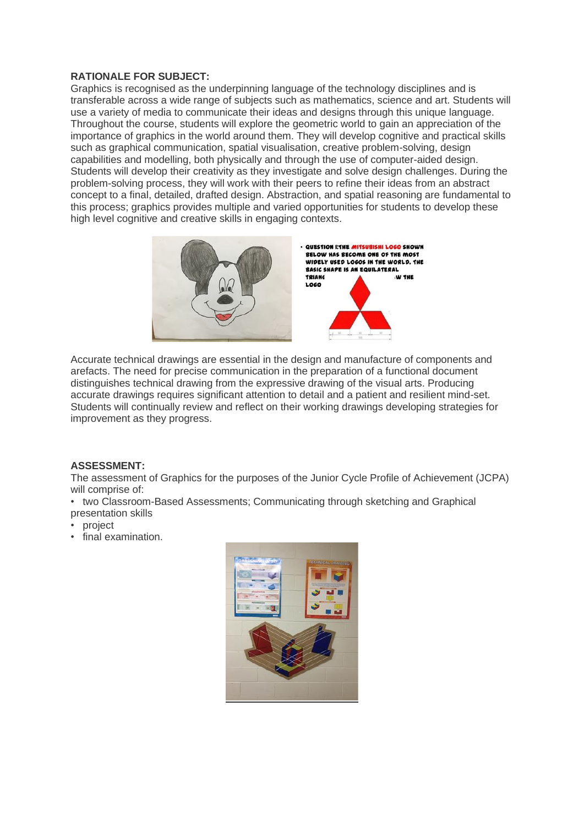## **RATIONALE FOR SUBJECT:**

Graphics is recognised as the underpinning language of the technology disciplines and is transferable across a wide range of subjects such as mathematics, science and art. Students will use a variety of media to communicate their ideas and designs through this unique language. Throughout the course, students will explore the geometric world to gain an appreciation of the importance of graphics in the world around them. They will develop cognitive and practical skills such as graphical communication, spatial visualisation, creative problem-solving, design capabilities and modelling, both physically and through the use of computer-aided design. Students will develop their creativity as they investigate and solve design challenges. During the problem-solving process, they will work with their peers to refine their ideas from an abstract concept to a final, detailed, drafted design. Abstraction, and spatial reasoning are fundamental to this process; graphics provides multiple and varied opportunities for students to develop these high level cognitive and creative skills in engaging contexts.



Accurate technical drawings are essential in the design and manufacture of components and arefacts. The need for precise communication in the preparation of a functional document distinguishes technical drawing from the expressive drawing of the visual arts. Producing accurate drawings requires significant attention to detail and a patient and resilient mind-set. Students will continually review and reflect on their working drawings developing strategies for improvement as they progress.

## **ASSESSMENT:**

The assessment of Graphics for the purposes of the Junior Cycle Profile of Achievement (JCPA) will comprise of:

- two Classroom-Based Assessments; Communicating through sketching and Graphical presentation skills
- project
- final examination.